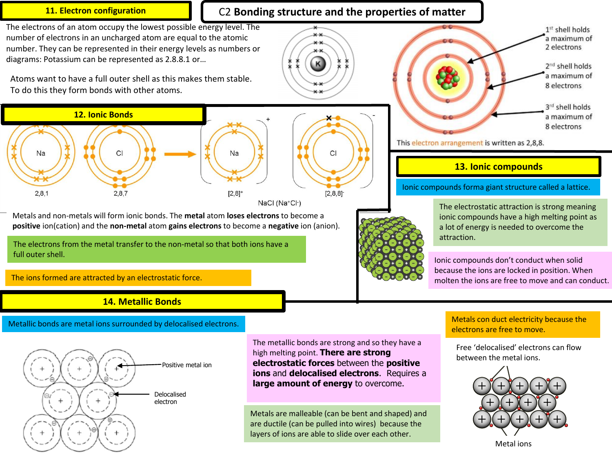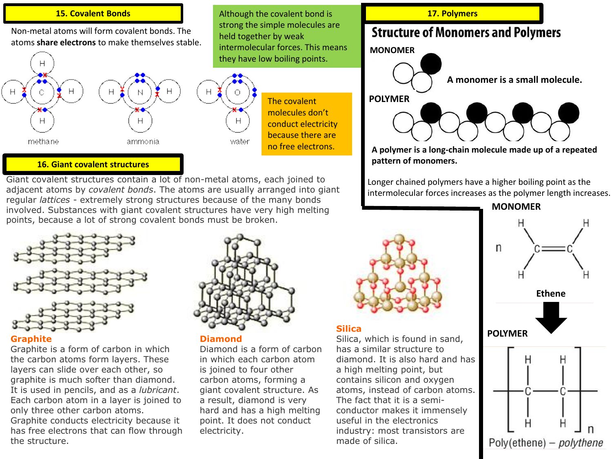### Although the covalent bond is **15. Covalent Bonds 17. Polymers**

Non-metal atoms will form covalent bonds. The atoms **share electrons** to make themselves stable.



## **16. Giant covalent structures**

Giant covalent structures contain a lot of non-metal atoms, each joined to adjacent atoms by *covalent bonds*. The atoms are usually arranged into giant regular *lattices* - extremely strong structures because of the many bonds involved. Substances with giant covalent structures have very high melting points, because a lot of strong covalent bonds must be broken.



### **Graphite**

Graphite is a form of carbon in which the carbon atoms form layers. These layers can slide over each other, so graphite is much softer than diamond. It is used in pencils, and as a *lubricant*. Each carbon atom in a layer is joined to only three other carbon atoms. Graphite conducts electricity because it has free electrons that can flow through the structure.



strong the simple molecules are

The covalent molecules don't conduct electricity because there are no free electrons.

held together by weak

#### **Diamond**

Diamond is a form of carbon in which each carbon atom is joined to four other carbon atoms, forming a giant covalent structure. As a result, diamond is very hard and has a high melting point. It does not conduct electricity.

# **Silica**

Silica, which is found in sand, has a similar structure to diamond. It is also hard and has a high melting point, but contains silicon and oxygen atoms, instead of carbon atoms. The fact that it is a semiconductor makes it immensely useful in the electronics industry: most transistors are made of silica.

# 17. Polymers

# **Structure of Monomers and Polymers**



**A polymer is a long-chain molecule made up of a repeated pattern of monomers.**

Longer chained polymers have a higher boiling point as the intermolecular forces increases as the polymer length increases.

**MONOMER**



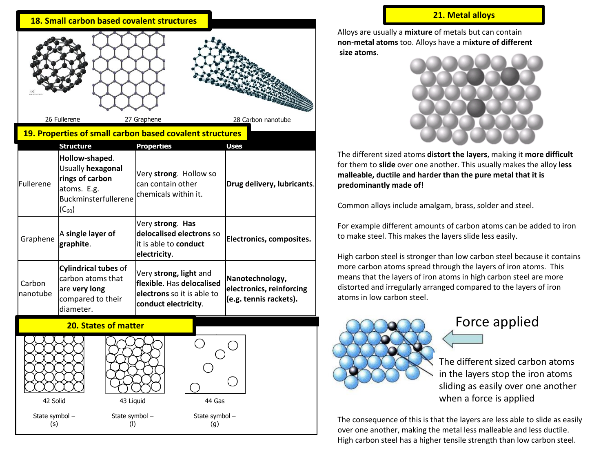Alloys are usually a **mixture** of metals but can contain **non-metal atoms** too. Alloys have a m**ixture of different size atoms**.



The different sized atoms **distort the layers**, making it **more difficult**  for them to **slide** over one another. This usually makes the alloy **less malleable, ductile and harder than the pure metal that it is predominantly made of!**

Common alloys include amalgam, brass, solder and steel.

For example different amounts of carbon atoms can be added to iron to make steel. This makes the layers slide less easily.

High carbon steel is stronger than low carbon steel because it contains more carbon atoms spread through the layers of iron atoms. This means that the layers of iron atoms in high carbon steel are more distorted and irregularly arranged compared to the layers of iron atoms in low carbon steel.



# Force applied

The different sized carbon atoms in the layers stop the iron atoms sliding as easily over one another when a force is applied

The consequence of this is that the layers are less able to slide as easily over one another, making the metal less malleable and less ductile. High carbon steel has a higher tensile strength than low carbon steel.

|                            | 18. Small carbon based covalent structures                                                                  |                                                                                                           |                                                                       | 21. Metal alloys                                                                                                                                                                                                            |
|----------------------------|-------------------------------------------------------------------------------------------------------------|-----------------------------------------------------------------------------------------------------------|-----------------------------------------------------------------------|-----------------------------------------------------------------------------------------------------------------------------------------------------------------------------------------------------------------------------|
|                            |                                                                                                             |                                                                                                           |                                                                       | Alloys are usually a mixture of metals but can<br>non-metal atoms too. Alloys have a mixture o<br>size atoms.                                                                                                               |
|                            | 26 Fullerene                                                                                                | 27 Graphene<br>19. Properties of small carbon based covalent structures                                   | 28 Carbon nanotube                                                    |                                                                                                                                                                                                                             |
|                            | <b>Structure</b>                                                                                            | <b>Properties</b>                                                                                         | <b>Uses</b>                                                           |                                                                                                                                                                                                                             |
| Fullerene                  | Hollow-shaped.<br>Usually hexagonal<br>rings of carbon<br>atoms. E.g.<br>Buckminsterfullerene<br>$(C_{60})$ | Very strong. Hollow so<br>can contain other<br>lchemicals within it.                                      | Drug delivery, lubricants.                                            | The different sized atoms distort the layers, n<br>for them to slide over one another. This usual<br>malleable, ductile and harder than the pure i<br>predominantly made of!<br>Common alloys include amalgam, brass, solde |
| Graphene                   | A single layer of<br>graphite.                                                                              | Very strong. Has<br>delocalised electrons so<br>it is able to <b>conduct</b><br>electricity.              | Electronics, composites.                                              | For example different amounts of carbon ator<br>to make steel. This makes the layers slide less<br>High carbon steel is stronger than low carbon                                                                            |
| Carbon<br>nanotube         | <b>Cylindrical tubes of</b><br>carbon atoms that<br>are very long<br>compared to their<br>diameter.         | Very strong, light and<br>flexible. Has delocalised<br>electrons so it is able to<br>conduct electricity. | Nanotechnology,<br>electronics, reinforcing<br>(e.g. tennis rackets). | more carbon atoms spread through the layers<br>means that the layers of iron atoms in high ca<br>distorted and irregularly arranged compared t<br>atoms in low carbon steel.                                                |
|                            | <b>20. States of matter</b>                                                                                 |                                                                                                           |                                                                       | Force:                                                                                                                                                                                                                      |
| 42 Solid<br>State symbol - | 43 Liquid<br>State symbol -                                                                                 | 44 Gas<br>State symbol -                                                                                  |                                                                       | The different<br>in the layers s<br>sliding as easi<br>when a force                                                                                                                                                         |
| (s)                        | (1)                                                                                                         | (g)                                                                                                       |                                                                       | The consequence of this is that the layers are                                                                                                                                                                              |